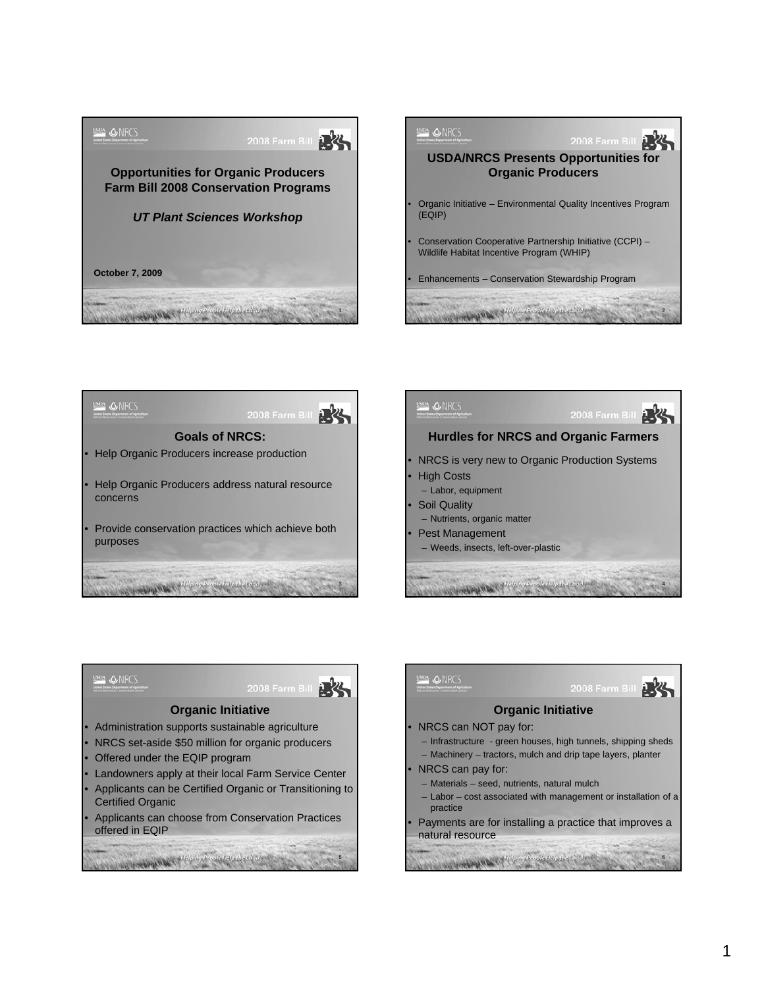





**ONRCS** 

the part of the paper of the ping People Help the Land





5

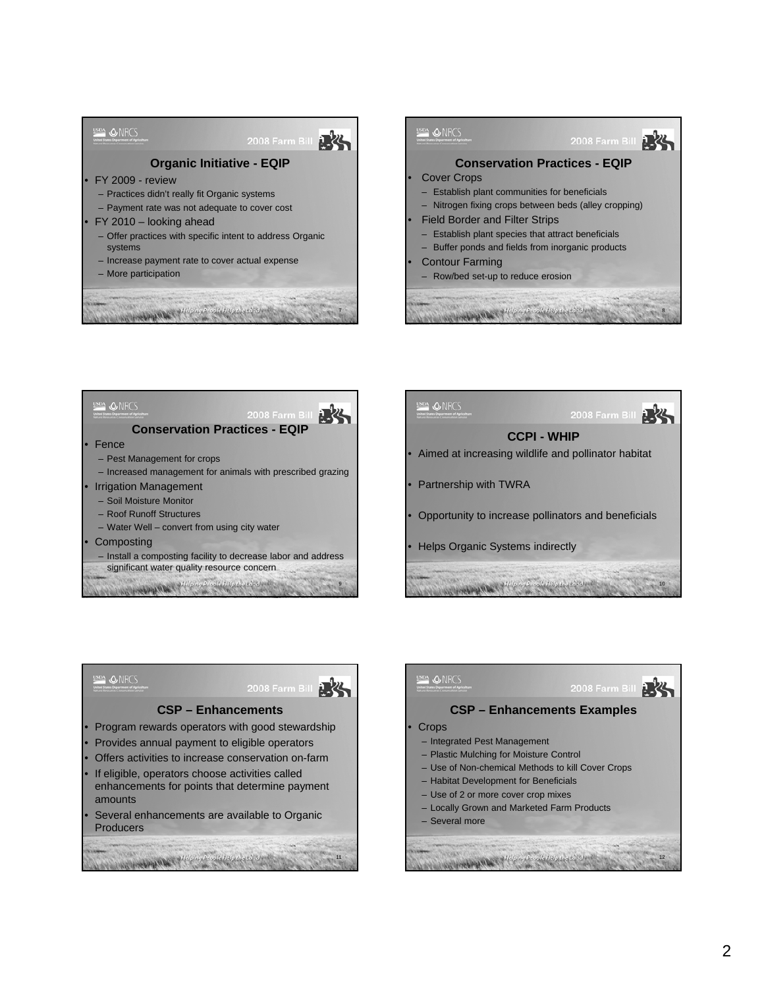